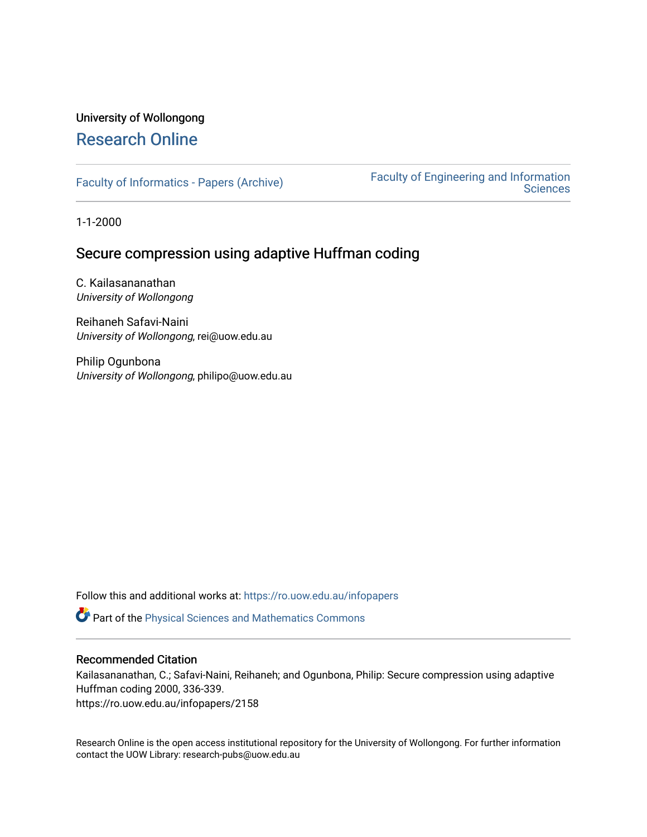# University of Wollongong [Research Online](https://ro.uow.edu.au/)

[Faculty of Informatics - Papers \(Archive\)](https://ro.uow.edu.au/infopapers) [Faculty of Engineering and Information](https://ro.uow.edu.au/eis)  **Sciences** 

1-1-2000

# Secure compression using adaptive Huffman coding

C. Kailasananathan University of Wollongong

Reihaneh Safavi-Naini University of Wollongong, rei@uow.edu.au

Philip Ogunbona University of Wollongong, philipo@uow.edu.au

Follow this and additional works at: [https://ro.uow.edu.au/infopapers](https://ro.uow.edu.au/infopapers?utm_source=ro.uow.edu.au%2Finfopapers%2F2158&utm_medium=PDF&utm_campaign=PDFCoverPages)

Part of the [Physical Sciences and Mathematics Commons](http://network.bepress.com/hgg/discipline/114?utm_source=ro.uow.edu.au%2Finfopapers%2F2158&utm_medium=PDF&utm_campaign=PDFCoverPages) 

### Recommended Citation

Kailasananathan, C.; Safavi-Naini, Reihaneh; and Ogunbona, Philip: Secure compression using adaptive Huffman coding 2000, 336-339. https://ro.uow.edu.au/infopapers/2158

Research Online is the open access institutional repository for the University of Wollongong. For further information contact the UOW Library: research-pubs@uow.edu.au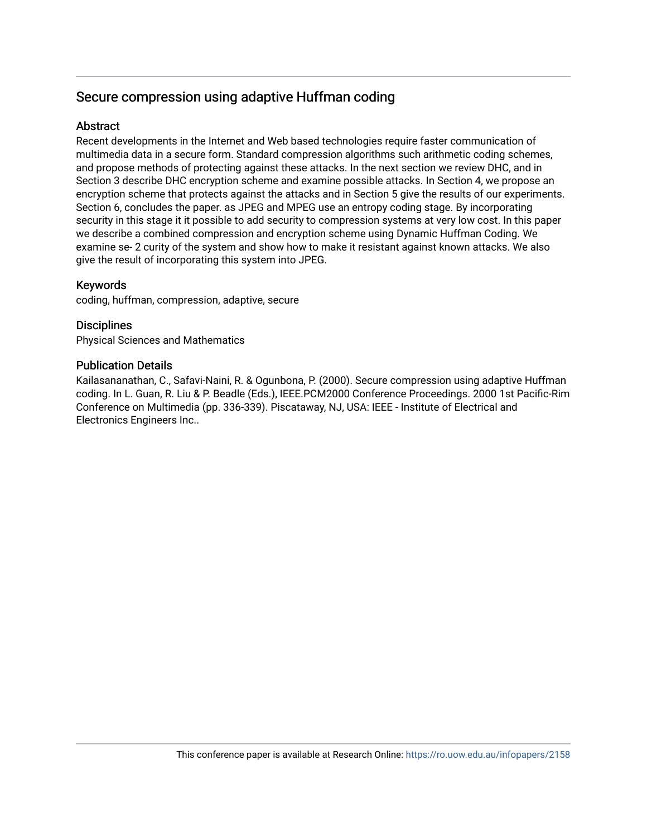# Secure compression using adaptive Huffman coding

## **Abstract**

Recent developments in the Internet and Web based technologies require faster communication of multimedia data in a secure form. Standard compression algorithms such arithmetic coding schemes, and propose methods of protecting against these attacks. In the next section we review DHC, and in Section 3 describe DHC encryption scheme and examine possible attacks. In Section 4, we propose an encryption scheme that protects against the attacks and in Section 5 give the results of our experiments. Section 6, concludes the paper. as JPEG and MPEG use an entropy coding stage. By incorporating security in this stage it it possible to add security to compression systems at very low cost. In this paper we describe a combined compression and encryption scheme using Dynamic Huffman Coding. We examine se- 2 curity of the system and show how to make it resistant against known attacks. We also give the result of incorporating this system into JPEG.

## Keywords

coding, huffman, compression, adaptive, secure

## **Disciplines**

Physical Sciences and Mathematics

### Publication Details

Kailasananathan, C., Safavi-Naini, R. & Ogunbona, P. (2000). Secure compression using adaptive Huffman coding. In L. Guan, R. Liu & P. Beadle (Eds.), IEEE.PCM2000 Conference Proceedings. 2000 1st Pacific-Rim Conference on Multimedia (pp. 336-339). Piscataway, NJ, USA: IEEE - Institute of Electrical and Electronics Engineers Inc..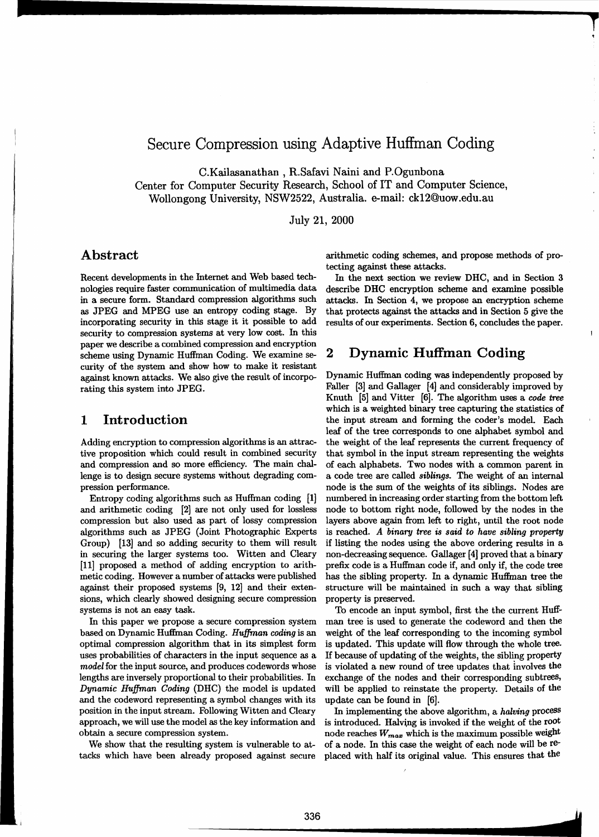# Secure Compression using Adaptive Huffman Coding

C.Kailasanathan , R.Safavi Naini and P.Ogunbona

Center for Computer Security Research, School of IT and Computer Science, Wollongong University, NSW2522, Australia. e-mail: ck12@uow.edu.au

July 21, 2000

## **Abstract**

Recent developments in the Internet and Web based technologies require faster communication of multimedia data in a secure form. Standard compression algorithms such as JPEG and MPEG use an entropy coding stage. By incorporating security in this stage it it possible to add security to compression systems at very low cost. In this paper we describe a combined compression and encryption scheme using Dynamic Huffman Coding. We examine se- 2 curity of the system and show how to make it resistant against known attacks. We also give the result of incorporating this system into JPEG.

## 1 **Introduction**

Adding encryption to compression algorithms is an attractive proposition which could result in combined security and compression and so more efficiency. The main challenge is to design secure systems without degrading compression performance.

Entropy coding algorithms such as Huffman coding [1] and arithmetic coding [2] are not only used for lossless compression but also used as part of lossy compression algorithms such as JPEG (Joint Photographic Experts Group) [13] and so adding security to them will result in securing the larger systems too. Witten and Cleary [11] proposed a method of adding encryption to arithmetic coding. However a number of attacks were published against their proposed systems [9, 12] and their extensions, which clearly showed designing secure compression systems is not an easy task.

In this paper we propose a secure compression system based on Dynamic Huffman Coding. *Hu.ffman coding* is an optimal compression algorithm that in its simplest form uses probabilities of characters in the input sequence as a model for the input source, and produces codewords whose lengths are inversely proportional to their probabilities. In *Dynamic Huffman Coding (DHC)* the model is updated and the codeword representing a symbol changes with its position in the input stream. Following Witten and Cleary approach, we will use the model as the key information and obtain a secure compression system.

We show that the resulting system is vulnerable to attacks which have been already proposed against secure arithmetic coding schemes, and propose methods of protecting against these attacks.

In the next section we review DHC, and in Section 3 describe DHC encryption scheme and examine possible attacks. In Section 4, we propose an encryption scheme that protects against the attacks and in Section 5 give the results of our experiments. Section 6, concludes the paper.

### **Dynamic Huffman Coding**

Dynamic Huffman coding was independently proposed by Faller [3] and Gallager [4] and considerably improved by Knuth [5] and Vitter [6]. The algorithm uses a *code* tree which is a weighted binary tree capturing the statistics of the input stream and forming the coder's model. Each leaf of the tree corresponds to one alphabet symbol and the weight of the leaf represents the current frequency of that symbol in the input stream representing the weights of each alphabets. Two nodes with a common parent in a code tree are called *siblings.* The weight of an internal node is the sum of the weights of its siblings. Nodes are numbered in increasing order starting from the bottom left node to bottom right node, followed by the nodes in the layers above again from left to right, until the root node is reached. *A binary tree is said to have sibling property*  if listing the nodes using the above ordering results in a non-decreasing sequence. Gallager [4] proved that a binary prefix code is a Huffman code if, and only if, the code tree has the sibling property. In a dynamic Huffman tree the structure will be maintained in such a way that sibling property is preserved.

To encode an input symbol, first the the current Huffman tree is used to generate the codeword and then the weight of the leaf corresponding to the incoming symbol is updated. This update will flow through the whole tree. IT because of updating of the weights, the sibling property is violated a new round of tree updates that involves the exchange of the nodes and their corresponding subtrees, will be applied to reinstate the property. Details of the update can be found in [6].

In implementing the above algorithm, a *halving* process is introduced. Halving is invoked if the weight of the root node reaches  $W_{max}$  which is the maximum possible weight of a node. In this case the weight of each node will be replaced with half its original value. This ensures that the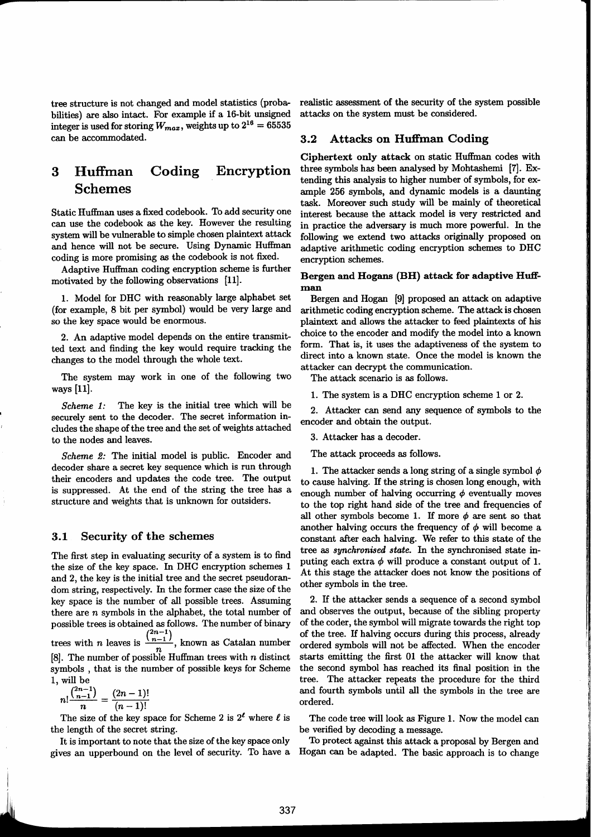tree structure is not changed and model statistics (probabilities) are also intact. For example if a 16-bit unsigned integer is used for storing  $W_{max}$ , weights up to  $2^{16} = 65535$ can be accommodated.

#### Huffman Coding Encryption 3 **Schemes**

Static Huffman uses a fixed codebook. To add security one can use the codebook as the key. However the resulting system will be vulnerable to simple chosen plaintext attack and hence will not be secure. Using Dynamic Huffman coding is more promising as the codebook is not fixed.

Adaptive Huffman coding encryption scheme is further motivated by the following observations [11].

1. Model for DHC with reasonably large alphabet set (for example, 8 bit per symbol) would be very large and so the key space would be enormous.

2. An adaptive model depends on the entire transmitted text and finding the key would require tracking the changes to the model through the whole text.

The system may work in one of the following two ways [11].

The key is the initial tree which will be Scheme 1: securely sent to the decoder. The secret information includes the shape of the tree and the set of weights attached to the nodes and leaves.

*Scheme 2:* The initial model is public. Encoder and decoder share a secret key sequence which is run through their encoders and updates the code tree. The output is suppressed. At the end of the string the tree has a structure and weights that is unknown for outsiders.

#### $3.1$ Security of the schemes

The first step in evaluating security of a system is to find the size of the key space. In DHC encryption schemes 1 and 2, the key is the initial tree and the secret pseudorandom string, respectively. In the former case the size of the key space is the number of all possible trees. Assuming there are  $n$  symbols in the alphabet, the total number of possible trees is obtained as follows. The number of binary trees with *n* leaves is  $\frac{\binom{2n-1}{n-1}}{n}$ , known as Catalan number [8]. The number of possible Huffman trees with  $n$  distinct symbols, that is the number of possible keys for Scheme 1, will be

$$
n!^{\binom{2n-1}{n-1}} = \frac{(2n-1)!}{(n-1)!}
$$

1

The size of the key space for Scheme 2 is  $2^{\ell}$  where  $\ell$  is the length of the secret string.

It is important to note that the size of the key space only gives an upperbound on the level of security. To have a realistic assessment of the security of the system possible attacks on the system must be considered.

#### **Attacks on Huffman Coding**  $3.2$

Ciphertext only attack on static Huffman codes with three symbols has been analysed by Mohtashemi [7]. Extending this analysis to higher number of symbols, for example 256 symbols, and dynamic models is a daunting task. Moreover such study will be mainly of theoretical interest because the attack model is very restricted and in practice the adversary is much more powerful. In the following we extend two attacks originally proposed on adaptive arithmetic coding encryption schemes to DHC encryption schemes.

### Bergen and Hogans (BH) attack for adaptive Huffman

Bergen and Hogan [9] proposed an attack on adaptive arithmetic coding encryption scheme. The attack is chosen plaintext and allows the attacker to feed plaintexts of his choice to the encoder and modify the model into a known form. That is, it uses the adaptiveness of the system to direct into a known state. Once the model is known the attacker can decrypt the communication.

The attack scenario is as follows.

1. The system is a DHC encryption scheme 1 or 2.

2. Attacker can send any sequence of symbols to the encoder and obtain the output.

3. Attacker has a decoder.

The attack proceeds as follows.

1. The attacker sends a long string of a single symbol  $\phi$ to cause halving. If the string is chosen long enough, with enough number of halving occurring  $\phi$  eventually moves to the top right hand side of the tree and frequencies of all other symbols become 1. If more  $\phi$  are sent so that another halving occurs the frequency of  $\phi$  will become a constant after each halving. We refer to this state of the tree as synchronised state. In the synchronised state inputing each extra  $\phi$  will produce a constant output of 1. At this stage the attacker does not know the positions of other symbols in the tree.

2. If the attacker sends a sequence of a second symbol and observes the output, because of the sibling property of the coder, the symbol will migrate towards the right top of the tree. If halving occurs during this process, already ordered symbols will not be affected. When the encoder starts emitting the first 01 the attacker will know that the second symbol has reached its final position in the tree. The attacker repeats the procedure for the third and fourth symbols until all the symbols in the tree are ordered.

The code tree will look as Figure 1. Now the model can be verified by decoding a message.

To protect against this attack a proposal by Bergen and Hogan can be adapted. The basic approach is to change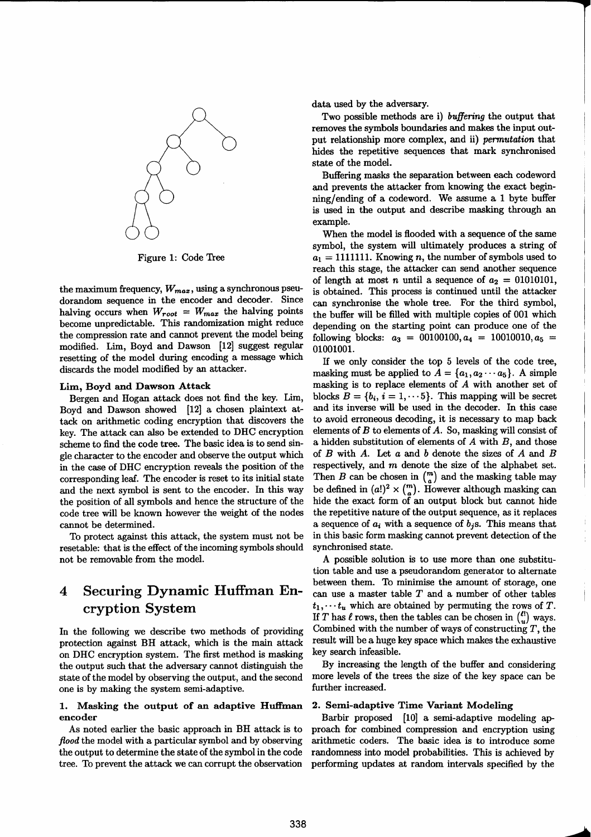

Figure 1: Code Tree

the maximum frequency,  $W_{max}$ , using a synchronous pseudorandom sequence in the encoder and decoder. Since halving occurs when  $W_{root} = W_{max}$  the halving points become unpredictable. This randomization might reduce the compression rate and cannot prevent the model being modified. Lim, Boyd and Dawson [12] suggest regular resetting of the model during encoding a message which discards the model modified by an attacker.

### Lim, Boyd and Dawson Attack

Bergen and Hogan attack does not find the key. Lim, Boyd and Dawson showed [12] a chosen plaintext attack on arithmetic coding encryption that discovers the key. The attack can also be extended to DHC encryption scheme to find the code tree. The basic idea is to send single character to the encoder and observe the output which in the case of DHC encryption reveals the position of the corresponding leaf. The encoder is reset to its initial state and the next symbol is sent to the encoder. In this way the position of all symbols and hence the structure of the code tree will be known however the weight of the nodes cannot be determined.

To protect against this attack, the system must not be resetable: that is the effect of the incoming symbols should not be removable from the model.

### **Securing Dynamic Huffman En-** $\boldsymbol{4}$ cryption System

In the following we describe two methods of providing protection against BH attack, which is the main attack on DHC encryption system. The first method is masking the output such that the adversary cannot distinguish the state of the model by observing the output, and the second one is by making the system semi-adaptive.

### 1. Masking the output of an adaptive Huffman encoder

As noted earlier the basic approach in BH attack is to flood the model with a particular symbol and by observing the output to determine the state of the symbol in the code tree. To prevent the attack we can corrupt the observation data used by the adversary.

Two possible methods are i) buffering the output that removes the symbols boundaries and makes the input output relationship more complex, and ii) permutation that hides the repetitive sequences that mark synchronised state of the model.

Buffering masks the separation between each codeword and prevents the attacker from knowing the exact beginning/ending of a codeword. We assume a 1 byte buffer is used in the output and describe masking through an example.

When the model is flooded with a sequence of the same symbol, the system will ultimately produces a string of  $a_1 = 1111111$ . Knowing *n*, the number of symbols used to reach this stage, the attacker can send another sequence of length at most *n* until a sequence of  $a_2 = 01010101$ , is obtained. This process is continued until the attacker can synchronise the whole tree. For the third symbol, the buffer will be filled with multiple copies of 001 which depending on the starting point can produce one of the following blocks:  $a_3 = 00100100, a_4 = 10010010, a_5 =$ 01001001.

If we only consider the top 5 levels of the code tree. masking must be applied to  $A = \{a_1, a_2 \cdots a_5\}$ . A simple masking is to replace elements of  $A$  with another set of blocks  $B = \{b_i, i = 1, \dots 5\}$ . This mapping will be secret and its inverse will be used in the decoder. In this case to avoid erroneous decoding, it is necessary to map back elements of  $B$  to elements of  $A$ . So, masking will consist of a hidden substitution of elements of  $A$  with  $B$ , and those of  $B$  with  $A$ . Let  $a$  and  $b$  denote the sizes of  $A$  and  $B$ respectively, and  $m$  denote the size of the alphabet set. Then *B* can be chosen in  $\binom{m}{a}$  and the masking table may be defined in  $(a!)^2 \times {m \choose a}$ . However although masking can hide the exact form of an output block but cannot hide the repetitive nature of the output sequence, as it replaces a sequence of  $a_i$  with a sequence of  $b_i$ s. This means that in this basic form masking cannot prevent detection of the synchronised state.

A possible solution is to use more than one substitution table and use a pseudorandom generator to alternate between them. To minimise the amount of storage, one can use a master table  $T$  and a number of other tables  $t_1, \dots, t_u$  which are obtained by permuting the rows of T. If T has  $\ell$  rows, then the tables can be chosen in  $\binom{\ell!}{n}$  ways. Combined with the number of ways of constructing  $T$ , the result will be a huge key space which makes the exhaustive key search infeasible.

By increasing the length of the buffer and considering more levels of the trees the size of the key space can be further increased.

### 2. Semi-adaptive Time Variant Modeling

Barbir proposed [10] a semi-adaptive modeling approach for combined compression and encryption using arithmetic coders. The basic idea is to introduce some randomness into model probabilities. This is achieved by performing updates at random intervals specified by the